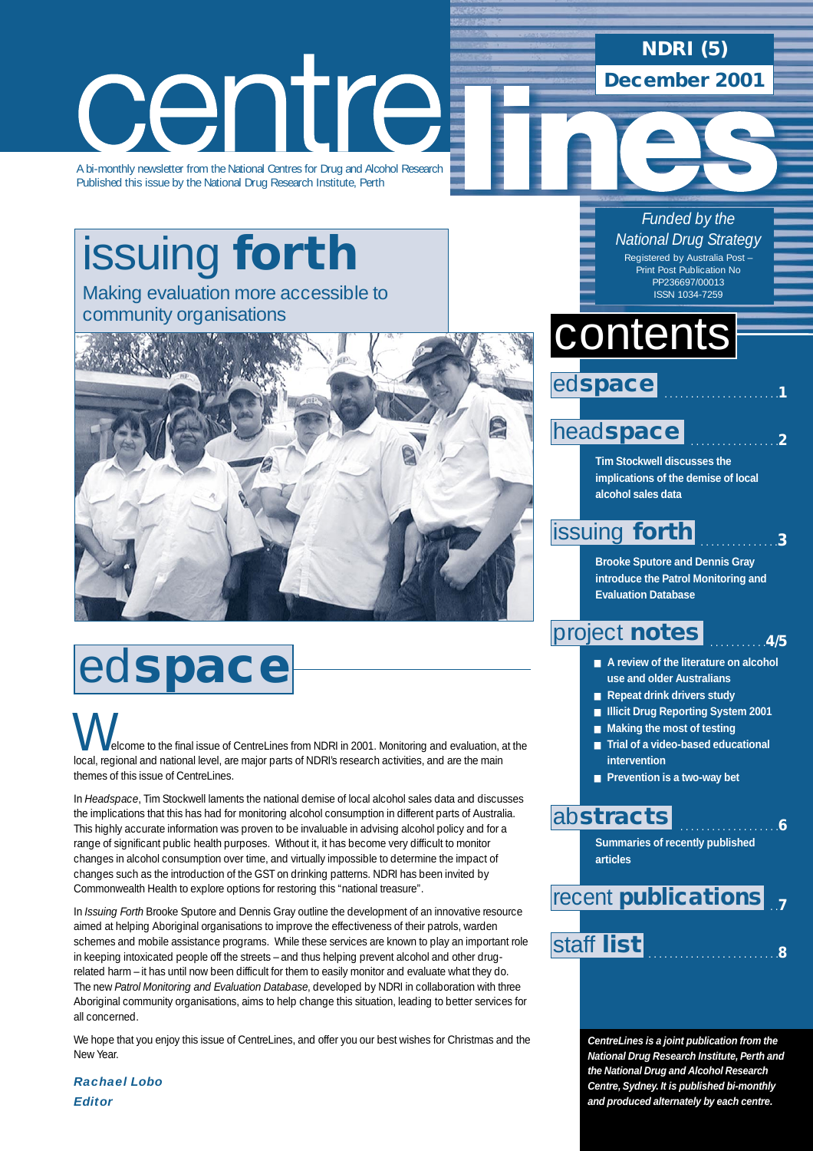# centre

A bi-monthly newsletter from the National Centres for Drug and Alcohol Research Published this issue by the National Drug Research Institute, Perth

## [issuing](#page-2-0) **forth** Making evaluation more accessible to

community organisations



## ed**space**

elcome to the final issue of CentreLines from NDRI in 2001. Monitoring and evaluation, at the **local, regional and the final issue of CentreLines from NDRI in 2001. Monitoring and evaluation, and the main**<br>local, regional and national level, are major parts of NDRI's research activities, and are the main themes of this issue of CentreLines.

In *Headspace*, Tim Stockwell laments the national demise of local alcohol sales data and discusses the implications that this has had for monitoring alcohol consumption in different parts of Australia. This highly accurate information was proven to be invaluable in advising alcohol policy and for a range of significant public health purposes. Without it, it has become very difficult to monitor changes in alcohol consumption over time, and virtually impossible to determine the impact of changes such as the introduction of the GST on drinking patterns. NDRI has been invited by Commonwealth Health to explore options for restoring this "national treasure".

In *Issuing Forth* Brooke Sputore and Dennis Gray outline the development of an innovative resource aimed at helping Aboriginal organisations to improve the effectiveness of their patrols, warden schemes and mobile assistance programs. While these services are known to play an important role in keeping intoxicated people off the streets – and thus helping prevent alcohol and other drugrelated harm – it has until now been difficult for them to easily monitor and evaluate what they do. The new *Patrol Monitoring and Evaluation Database*, developed by NDRI in collaboration with three Aboriginal community organisations, aims to help change this situation, leading to better services for all concerned.

We hope that you enjoy this issue of CentreLines, and offer you our best wishes for Christmas and the New Year.

*Rachael Lobo Editor*

## **NDRI (5)**

**December 2001**

*Funded by the National Drug Strategy* Registered by Australia Post – Print Post Publication No PP236697/00013 ISSN 1034-7259

## contents



### head**[space](#page-1-0)**

**Tim Stockwell discusses the implications of the demise of local alcohol sales data**

. . . . . . . . . . . . . . . . .**2**

. . . . . . . . . . . . . . .**3**

. . . . . . . . . . .**4/5**

### [issuing](#page-2-0) **forth**

**Brooke Sputore and Dennis Gray introduce the Patrol Monitoring and Evaluation Database**

## [project](#page-3-0) **notes**

- **A review of the literature on alcohol use and older Australians**
- **Repeat drink drivers study**
- **Illicit Drug Reporting System 2001**
- **Making the most of testing**
- **Trial of a video-based educational intervention**
- **Prevention is a two-way bet**

### ab**[stracts](#page-5-0)**

**Summaries of recently published articles** 

. . . . . . . . . . . . . . . . . . .**6**

 . .**7** recent **[publications](#page-6-0)**

## [staff](#page-7-0) . . . . . . . . . . . . . . . . . . . . . . . . .**<sup>8</sup> list**

**CentreLines is a joint publication from the National Drug Research Institute, Perth and the National Drug and Alcohol Research Centre, Sydney. It is published bi-monthly and produced alternately by each centre.**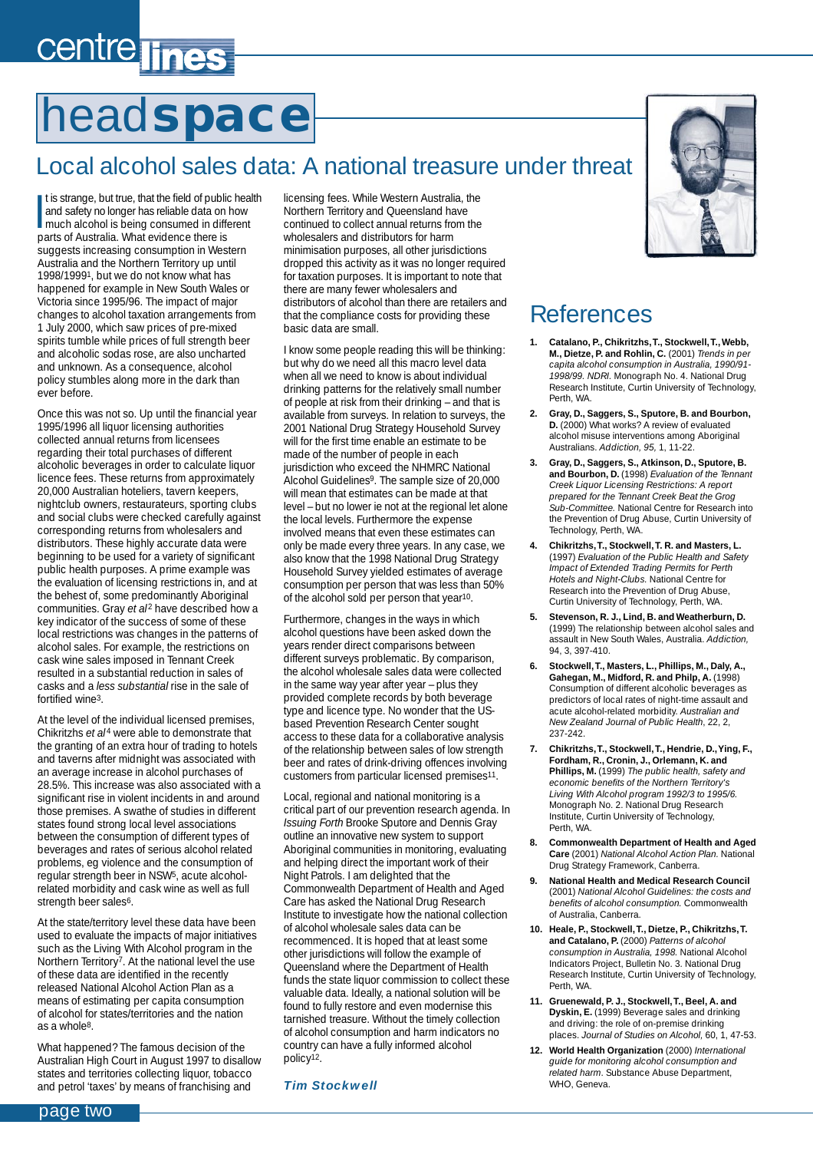## <span id="page-1-0"></span>centre lines

## head**space**

### Local alcohol sales data: A national treasure under threat

It is strange, but true, that the field of public head and safety no longer has reliable data on how<br>much alcohol is being consumed in different<br>arts of Australia What oukloped there is It is strange, but true, that the field of public health and safety no longer has reliable data on how parts of Australia. What evidence there is suggests increasing consumption in Western Australia and the Northern Territory up until 1998/19991, but we do not know what has happened for example in New South Wales or Victoria since 1995/96. The impact of major changes to alcohol taxation arrangements from 1 July 2000, which saw prices of pre-mixed spirits tumble while prices of full strength beer and alcoholic sodas rose, are also uncharted and unknown. As a consequence, alcohol policy stumbles along more in the dark than ever before.

Once this was not so. Up until the financial year 1995/1996 all liquor licensing authorities collected annual returns from licensees regarding their total purchases of different alcoholic beverages in order to calculate liquor licence fees. These returns from approximately 20,000 Australian hoteliers, tavern keepers, nightclub owners, restaurateurs, sporting clubs and social clubs were checked carefully against corresponding returns from wholesalers and distributors. These highly accurate data were beginning to be used for a variety of significant public health purposes. A prime example was the evaluation of licensing restrictions in, and at the behest of, some predominantly Aboriginal communities. Gray *et al<sup>2</sup>* have described how a key indicator of the success of some of these local restrictions was changes in the patterns of alcohol sales. For example, the restrictions on cask wine sales imposed in Tennant Creek resulted in a substantial reduction in sales of casks and a *less substantial* rise in the sale of fortified wine3.

At the level of the individual licensed premises, Chikritzhs *et al<sup>4</sup>* were able to demonstrate that the granting of an extra hour of trading to hotels and taverns after midnight was associated with an average increase in alcohol purchases of 28.5%. This increase was also associated with a significant rise in violent incidents in and around those premises. A swathe of studies in different states found strong local level associations between the consumption of different types of beverages and rates of serious alcohol related problems, eg violence and the consumption of regular strength beer in NSW5, acute alcoholrelated morbidity and cask wine as well as full strength beer sales<sup>6</sup>.

At the state/territory level these data have been used to evaluate the impacts of major initiatives such as the Living With Alcohol program in the Northern Territory7. At the national level the use of these data are identified in the recently released National Alcohol Action Plan as a means of estimating per capita consumption of alcohol for states/territories and the nation as a whole8.

What happened? The famous decision of the Australian High Court in August 1997 to disallow states and territories collecting liquor, tobacco and petrol 'taxes' by means of franchising and

licensing fees. While Western Australia, the Northern Territory and Queensland have continued to collect annual returns from the wholesalers and distributors for harm minimisation purposes, all other jurisdictions dropped this activity as it was no longer required for taxation purposes. It is important to note that there are many fewer wholesalers and distributors of alcohol than there are retailers and that the compliance costs for providing these basic data are small.

I know some people reading this will be thinking: but why do we need all this macro level data when all we need to know is about individual drinking patterns for the relatively small number of people at risk from their drinking – and that is available from surveys. In relation to surveys, the 2001 National Drug Strategy Household Survey will for the first time enable an estimate to be made of the number of people in each jurisdiction who exceed the NHMRC National Alcohol Guidelines9. The sample size of 20,000 will mean that estimates can be made at that level – but no lower ie not at the regional let alone the local levels. Furthermore the expense involved means that even these estimates can only be made every three years. In any case, we also know that the 1998 National Drug Strategy Household Survey yielded estimates of average consumption per person that was less than 50% of the alcohol sold per person that year10.

Furthermore, changes in the ways in which alcohol questions have been asked down the years render direct comparisons between different surveys problematic. By comparison, the alcohol wholesale sales data were collected in the same way year after year – plus they provided complete records by both beverage type and licence type. No wonder that the USbased Prevention Research Center sought access to these data for a collaborative analysis of the relationship between sales of low strength beer and rates of drink-driving offences involving customers from particular licensed premises11.

Local, regional and national monitoring is a critical part of our prevention research agenda. In *Issuing Forth* Brooke Sputore and Dennis Gray outline an innovative new system to support Aboriginal communities in monitoring, evaluating and helping direct the important work of their Night Patrols. I am delighted that the Commonwealth Department of Health and Aged Care has asked the National Drug Research Institute to investigate how the national collection of alcohol wholesale sales data can be recommenced. It is hoped that at least some other jurisdictions will follow the example of Queensland where the Department of Health funds the state liquor commission to collect these valuable data. Ideally, a national solution will be found to fully restore and even modernise this tarnished treasure. Without the timely collection of alcohol consumption and harm indicators no country can have a fully informed alcohol policy12.

#### *Tim Stockwell*



### References

- **1. Catalano, P., Chikritzhs,T., Stockwell,T., Webb, M., Dietze, P. and Rohlin, C.** (2001) *Trends in per capita alcohol consumption in Australia, 1990/91- 1998/99. NDRI.* Monograph No. 4. National Drug Research Institute, Curtin University of Technology, Perth, WA.
- **2. Gray, D., Saggers, S., Sputore, B. and Bourbon, D.** (2000) What works? A review of evaluated alcohol misuse interventions among Aboriginal Australians. *Addiction, 95,* 1, 11-22.
- **3. Gray, D., Saggers, S., Atkinson, D., Sputore, B. and Bourbon, D.** (1998) *Evaluation of the Tennant Creek Liquor Licensing Restrictions: A report prepared for the Tennant Creek Beat the Grog Sub-Committee.* National Centre for Research into the Prevention of Drug Abuse, Curtin University of Technology, Perth, WA.
- **4. Chikritzhs,T., Stockwell,T. R. and Masters, L.** (1997) *Evaluation of the Public Health and Safety Impact of Extended Trading Permits for Perth Hotels and Night-Clubs.* National Centre for Research into the Prevention of Drug Abuse, Curtin University of Technology, Perth, WA.
- **5. Stevenson, R. J., Lind, B. and Weatherburn, D.** (1999) The relationship between alcohol sales and assault in New South Wales, Australia. *Addiction,* 94, 3, 397-410.
- **6. Stockwell,T., Masters, L., Phillips, M., Daly, A., Gahegan, M., Midford, R. and Philp, A.** (1998) Consumption of different alcoholic beverages as predictors of local rates of night-time assault and acute alcohol-related morbidity. *Australian and New Zealand Journal of Public Health*, 22, 2, 237-242.
- **7. Chikritzhs,T., Stockwell,T., Hendrie, D.,Ying, F., Fordham, R., Cronin, J., Orlemann, K. and Phillips, M.** (1999) *The public health, safety and economic benefits of the Northern Territory's Living With Alcohol program 1992/3 to 1995/6.* Monograph No. 2. National Drug Research Institute, Curtin University of Technology, Perth, WA.
- **8. Commonwealth Department of Health and Aged Care** (2001) *National Alcohol Action Plan.* National Drug Strategy Framework, Canberra.
- **9. National Health and Medical Research Council** (2001) *National Alcohol Guidelines: the costs and benefits of alcohol consumption.* Commonwealth of Australia, Canberra.
- **10. Heale, P., Stockwell,T., Dietze, P., Chikritzhs,T. and Catalano, P.** (2000) *Patterns of alcohol consumption in Australia, 1998.* National Alcohol Indicators Project, Bulletin No. 3. National Drug Research Institute, Curtin University of Technology, Perth, WA.
- **11. Gruenewald, P. J., Stockwell,T., Beel, A. and Dyskin, E.** (1999) Beverage sales and drinking and driving: the role of on-premise drinking places. *Journal of Studies on Alcohol,* 60, 1, 47-53.
- **12. World Health Organization** (2000) *International guide for monitoring alcohol consumption and related harm*. Substance Abuse Department, WHO, Geneva.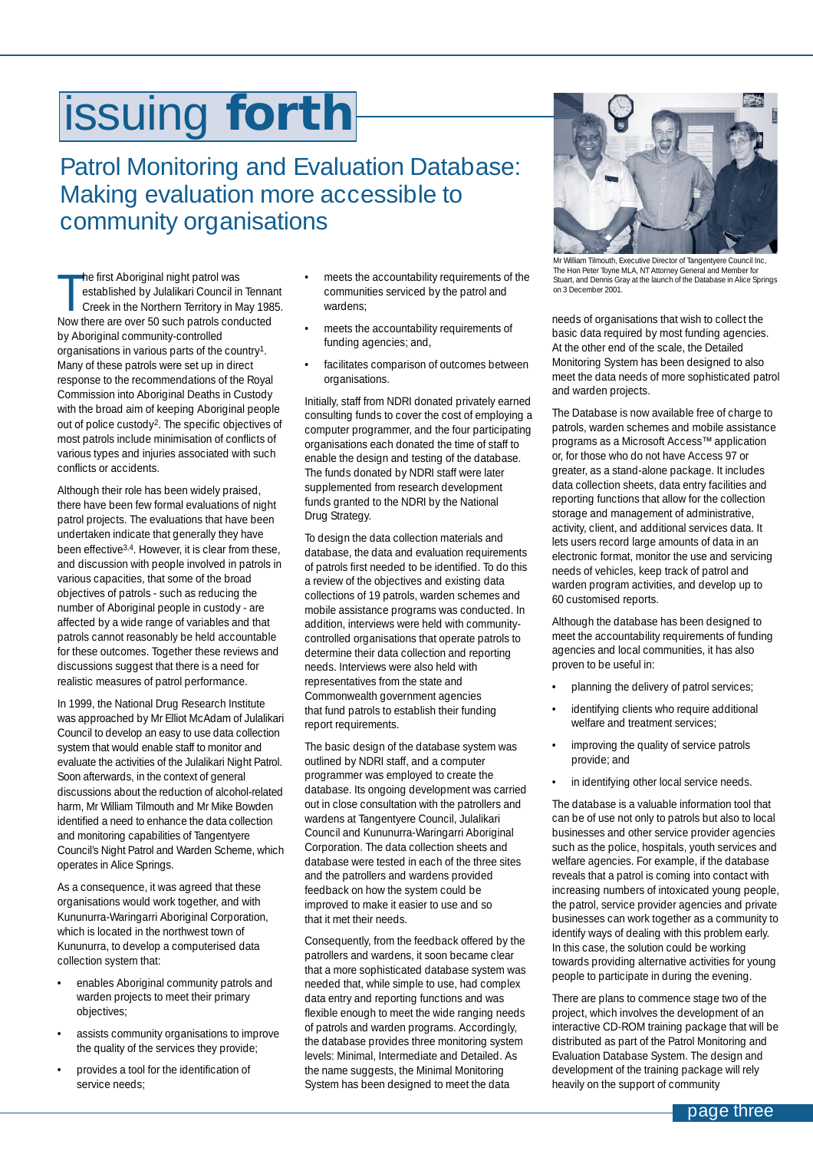## <span id="page-2-0"></span>issuing **forth**

## Patrol Monitoring and Evaluation Database: Making evaluation more accessible to community organisations

The first Aboriginal night patrol was<br>established by Julalikari Council in Tenna<br>Creek in the Northern Territory in May 198<br>Now there are over 50 such patrols conducted he first Aboriginal night patrol was established by Julalikari Council in Tennant Creek in the Northern Territory in May 1985. by Aboriginal community-controlled organisations in various parts of the country1. Many of these patrols were set up in direct response to the recommendations of the Royal Commission into Aboriginal Deaths in Custody with the broad aim of keeping Aboriginal people out of police custody2. The specific objectives of most patrols include minimisation of conflicts of various types and injuries associated with such conflicts or accidents.

Although their role has been widely praised, there have been few formal evaluations of night patrol projects. The evaluations that have been undertaken indicate that generally they have been effective3,4. However, it is clear from these, and discussion with people involved in patrols in various capacities, that some of the broad objectives of patrols - such as reducing the number of Aboriginal people in custody - are affected by a wide range of variables and that patrols cannot reasonably be held accountable for these outcomes. Together these reviews and discussions suggest that there is a need for realistic measures of patrol performance.

In 1999, the National Drug Research Institute was approached by Mr Elliot McAdam of Julalikari Council to develop an easy to use data collection system that would enable staff to monitor and evaluate the activities of the Julalikari Night Patrol. Soon afterwards, in the context of general discussions about the reduction of alcohol-related harm, Mr William Tilmouth and Mr Mike Bowden identified a need to enhance the data collection and monitoring capabilities of Tangentyere Council's Night Patrol and Warden Scheme, which operates in Alice Springs.

As a consequence, it was agreed that these organisations would work together, and with Kununurra-Waringarri Aboriginal Corporation, which is located in the northwest town of Kununurra, to develop a computerised data collection system that:

- enables Aboriginal community patrols and warden projects to meet their primary objectives;
- assists community organisations to improve the quality of the services they provide;
- provides a tool for the identification of service needs;
- meets the accountability requirements of the communities serviced by the patrol and wardens;
- meets the accountability requirements of funding agencies; and,
- facilitates comparison of outcomes between organisations.

Initially, staff from NDRI donated privately earned consulting funds to cover the cost of employing a computer programmer, and the four participating organisations each donated the time of staff to enable the design and testing of the database. The funds donated by NDRI staff were later supplemented from research development funds granted to the NDRI by the National Drug Strategy.

To design the data collection materials and database, the data and evaluation requirements of patrols first needed to be identified. To do this a review of the objectives and existing data collections of 19 patrols, warden schemes and mobile assistance programs was conducted. In addition, interviews were held with communitycontrolled organisations that operate patrols to determine their data collection and reporting needs. Interviews were also held with representatives from the state and Commonwealth government agencies that fund patrols to establish their funding report requirements.

The basic design of the database system was outlined by NDRI staff, and a computer programmer was employed to create the database. Its ongoing development was carried out in close consultation with the patrollers and wardens at Tangentyere Council, Julalikari Council and Kununurra-Waringarri Aboriginal Corporation. The data collection sheets and database were tested in each of the three sites and the patrollers and wardens provided feedback on how the system could be improved to make it easier to use and so that it met their needs.

Consequently, from the feedback offered by the patrollers and wardens, it soon became clear that a more sophisticated database system was needed that, while simple to use, had complex data entry and reporting functions and was flexible enough to meet the wide ranging needs of patrols and warden programs. Accordingly, the database provides three monitoring system levels: Minimal, Intermediate and Detailed. As the name suggests, the Minimal Monitoring System has been designed to meet the data



Mr William Tilmouth, Executive Director of Tangentyere Council Inc, The Hon Peter Toyne MLA, NT Attorney General and Member for Stuart, and Dennis Gray at the launch of the Database in Alice Springs on 3 December 2001.

needs of organisations that wish to collect the basic data required by most funding agencies. At the other end of the scale, the Detailed Monitoring System has been designed to also meet the data needs of more sophisticated patrol and warden projects.

The Database is now available free of charge to patrols, warden schemes and mobile assistance programs as a Microsoft Access™ application or, for those who do not have Access 97 or greater, as a stand-alone package. It includes data collection sheets, data entry facilities and reporting functions that allow for the collection storage and management of administrative, activity, client, and additional services data. It lets users record large amounts of data in an electronic format, monitor the use and servicing needs of vehicles, keep track of patrol and warden program activities, and develop up to 60 customised reports.

Although the database has been designed to meet the accountability requirements of funding agencies and local communities, it has also proven to be useful in:

- planning the delivery of patrol services;
- identifying clients who require additional welfare and treatment services;
- improving the quality of service patrols provide; and
- in identifying other local service needs.

The database is a valuable information tool that can be of use not only to patrols but also to local businesses and other service provider agencies such as the police, hospitals, youth services and welfare agencies. For example, if the database reveals that a patrol is coming into contact with increasing numbers of intoxicated young people, the patrol, service provider agencies and private businesses can work together as a community to identify ways of dealing with this problem early. In this case, the solution could be working towards providing alternative activities for young people to participate in during the evening.

There are plans to commence stage two of the project, which involves the development of an interactive CD-ROM training package that will be distributed as part of the Patrol Monitoring and Evaluation Database System. The design and development of the training package will rely heavily on the support of community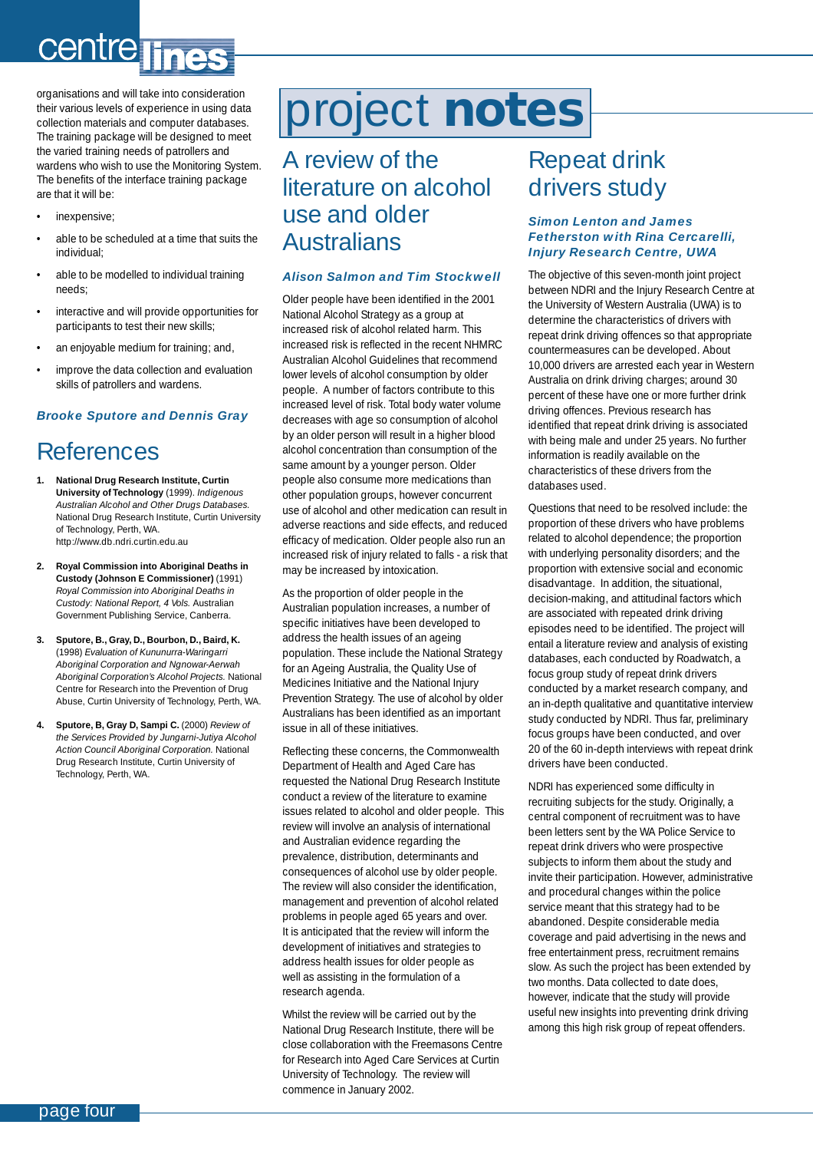## <span id="page-3-0"></span>**Centre**

organisations and will take into consideration their various levels of experience in using data collection materials and computer databases. The training package will be designed to meet the varied training needs of patrollers and wardens who wish to use the Monitoring System. The benefits of the interface training package are that it will be:

- inexpensive;
- able to be scheduled at a time that suits the individual;
- able to be modelled to individual training needs;
- interactive and will provide opportunities for participants to test their new skills;
- an enjoyable medium for training; and,
- improve the data collection and evaluation skills of patrollers and wardens.

#### *Brooke Sputore and Dennis Gray*

## References

- **1. National Drug Research Institute, Curtin University of Technology** (1999). *Indigenous Australian Alcohol and Other Drugs Databases.* National Drug Research Institute, Curtin University of Technology, Perth, WA. http://www.db.ndri.curtin.edu.au
- **2. Royal Commission into Aboriginal Deaths in Custody (Johnson E Commissioner)** (1991) *Royal Commission into Aboriginal Deaths in Custody: National Report, 4 Vols.* Australian Government Publishing Service, Canberra.
- **3. Sputore, B., Gray, D., Bourbon, D., Baird, K.** (1998) *Evaluation of Kununurra-Waringarri Aboriginal Corporation and Ngnowar-Aerwah Aboriginal Corporation's Alcohol Projects.* National Centre for Research into the Prevention of Drug Abuse, Curtin University of Technology, Perth, WA.
- **4. Sputore, B, Gray D, Sampi C.** (2000) *Review of the Services Provided by Jungarni-Jutiya Alcohol Action Council Aboriginal Corporation.* National Drug Research Institute, Curtin University of Technology, Perth, WA.

## project **notes**

### A review of the literature on alcohol use and older Australians

#### *Alison Salmon and Tim Stockwell*

Older people have been identified in the 2001 National Alcohol Strategy as a group at increased risk of alcohol related harm. This increased risk is reflected in the recent NHMRC Australian Alcohol Guidelines that recommend lower levels of alcohol consumption by older people. A number of factors contribute to this increased level of risk. Total body water volume decreases with age so consumption of alcohol by an older person will result in a higher blood alcohol concentration than consumption of the same amount by a younger person. Older people also consume more medications than other population groups, however concurrent use of alcohol and other medication can result in adverse reactions and side effects, and reduced efficacy of medication. Older people also run an increased risk of injury related to falls - a risk that may be increased by intoxication.

As the proportion of older people in the Australian population increases, a number of specific initiatives have been developed to address the health issues of an ageing population. These include the National Strategy for an Ageing Australia, the Quality Use of Medicines Initiative and the National Injury Prevention Strategy. The use of alcohol by older Australians has been identified as an important issue in all of these initiatives.

Reflecting these concerns, the Commonwealth Department of Health and Aged Care has requested the National Drug Research Institute conduct a review of the literature to examine issues related to alcohol and older people. This review will involve an analysis of international and Australian evidence regarding the prevalence, distribution, determinants and consequences of alcohol use by older people. The review will also consider the identification, management and prevention of alcohol related problems in people aged 65 years and over. It is anticipated that the review will inform the development of initiatives and strategies to address health issues for older people as well as assisting in the formulation of a research agenda.

Whilst the review will be carried out by the National Drug Research Institute, there will be close collaboration with the Freemasons Centre for Research into Aged Care Services at Curtin University of Technology. The review will commence in January 2002.

## Repeat drink drivers study

#### *Simon Lenton and James Fetherston with Rina Cercarelli, Injury Research Centre, UWA*

The objective of this seven-month joint project between NDRI and the Injury Research Centre at the University of Western Australia (UWA) is to determine the characteristics of drivers with repeat drink driving offences so that appropriate countermeasures can be developed. About 10,000 drivers are arrested each year in Western Australia on drink driving charges; around 30 percent of these have one or more further drink driving offences. Previous research has identified that repeat drink driving is associated with being male and under 25 years. No further information is readily available on the characteristics of these drivers from the databases used.

Questions that need to be resolved include: the proportion of these drivers who have problems related to alcohol dependence; the proportion with underlying personality disorders; and the proportion with extensive social and economic disadvantage. In addition, the situational, decision-making, and attitudinal factors which are associated with repeated drink driving episodes need to be identified. The project will entail a literature review and analysis of existing databases, each conducted by Roadwatch, a focus group study of repeat drink drivers conducted by a market research company, and an in-depth qualitative and quantitative interview study conducted by NDRI. Thus far, preliminary focus groups have been conducted, and over 20 of the 60 in-depth interviews with repeat drink drivers have been conducted.

NDRI has experienced some difficulty in recruiting subjects for the study. Originally, a central component of recruitment was to have been letters sent by the WA Police Service to repeat drink drivers who were prospective subjects to inform them about the study and invite their participation. However, administrative and procedural changes within the police service meant that this strategy had to be abandoned. Despite considerable media coverage and paid advertising in the news and free entertainment press, recruitment remains slow. As such the project has been extended by two months. Data collected to date does, however, indicate that the study will provide useful new insights into preventing drink driving among this high risk group of repeat offenders.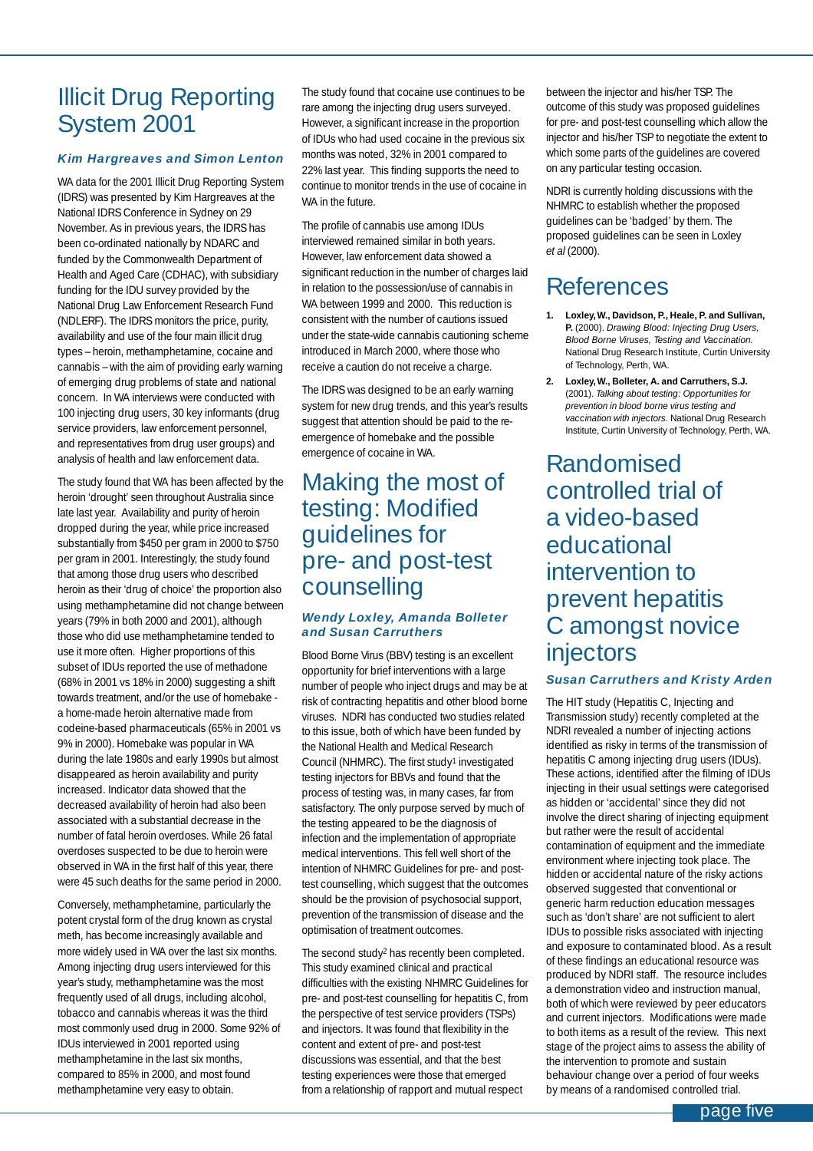### Illicit Drug Reporting System 2001

#### *Kim Hargreaves and Simon Lenton*

WA data for the 2001 Illicit Drug Reporting System (IDRS) was presented by Kim Hargreaves at the National IDRS Conference in Sydney on 29 November. As in previous years, the IDRS has been co-ordinated nationally by NDARC and funded by the Commonwealth Department of Health and Aged Care (CDHAC), with subsidiary funding for the IDU survey provided by the National Drug Law Enforcement Research Fund (NDLERF). The IDRS monitors the price, purity, availability and use of the four main illicit drug types – heroin, methamphetamine, cocaine and cannabis – with the aim of providing early warning of emerging drug problems of state and national concern. In WA interviews were conducted with 100 injecting drug users, 30 key informants (drug service providers, law enforcement personnel, and representatives from drug user groups) and analysis of health and law enforcement data.

The study found that WA has been affected by the heroin 'drought' seen throughout Australia since late last year. Availability and purity of heroin dropped during the year, while price increased substantially from \$450 per gram in 2000 to \$750 per gram in 2001. Interestingly, the study found that among those drug users who described heroin as their 'drug of choice' the proportion also using methamphetamine did not change between years (79% in both 2000 and 2001), although those who did use methamphetamine tended to use it more often. Higher proportions of this subset of IDUs reported the use of methadone (68% in 2001 vs 18% in 2000) suggesting a shift towards treatment, and/or the use of homebake a home-made heroin alternative made from codeine-based pharmaceuticals (65% in 2001 vs 9% in 2000). Homebake was popular in WA during the late 1980s and early 1990s but almost disappeared as heroin availability and purity increased. Indicator data showed that the decreased availability of heroin had also been associated with a substantial decrease in the number of fatal heroin overdoses. While 26 fatal overdoses suspected to be due to heroin were observed in WA in the first half of this year, there were 45 such deaths for the same period in 2000.

Conversely, methamphetamine, particularly the potent crystal form of the drug known as crystal meth, has become increasingly available and more widely used in WA over the last six months. Among injecting drug users interviewed for this year's study, methamphetamine was the most frequently used of all drugs, including alcohol, tobacco and cannabis whereas it was the third most commonly used drug in 2000. Some 92% of IDUs interviewed in 2001 reported using methamphetamine in the last six months, compared to 85% in 2000, and most found methamphetamine very easy to obtain.

The study found that cocaine use continues to be rare among the injecting drug users surveyed. However, a significant increase in the proportion of IDUs who had used cocaine in the previous six months was noted, 32% in 2001 compared to 22% last year. This finding supports the need to continue to monitor trends in the use of cocaine in WA in the future.

The profile of cannabis use among IDUs interviewed remained similar in both years. However, law enforcement data showed a significant reduction in the number of charges laid in relation to the possession/use of cannabis in WA between 1999 and 2000. This reduction is consistent with the number of cautions issued under the state-wide cannabis cautioning scheme introduced in March 2000, where those who receive a caution do not receive a charge.

The IDRS was designed to be an early warning system for new drug trends, and this year's results suggest that attention should be paid to the reemergence of homebake and the possible emergence of cocaine in WA.

### Making the most of testing: Modified guidelines for pre- and post-test counselling

#### *Wendy Loxley, Amanda Bolleter and Susan Carruthers*

Blood Borne Virus (BBV) testing is an excellent opportunity for brief interventions with a large number of people who inject drugs and may be at risk of contracting hepatitis and other blood borne viruses. NDRI has conducted two studies related to this issue, both of which have been funded by the National Health and Medical Research Council (NHMRC). The first study1 investigated testing injectors for BBVs and found that the process of testing was, in many cases, far from satisfactory. The only purpose served by much of the testing appeared to be the diagnosis of infection and the implementation of appropriate medical interventions. This fell well short of the intention of NHMRC Guidelines for pre- and posttest counselling, which suggest that the outcomes should be the provision of psychosocial support, prevention of the transmission of disease and the optimisation of treatment outcomes.

The second study2 has recently been completed. This study examined clinical and practical difficulties with the existing NHMRC Guidelines for pre- and post-test counselling for hepatitis C, from the perspective of test service providers (TSPs) and injectors. It was found that flexibility in the content and extent of pre- and post-test discussions was essential, and that the best testing experiences were those that emerged from a relationship of rapport and mutual respect

between the injector and his/her TSP. The outcome of this study was proposed guidelines for pre- and post-test counselling which allow the injector and his/her TSP to negotiate the extent to which some parts of the guidelines are covered on any particular testing occasion.

NDRI is currently holding discussions with the NHMRC to establish whether the proposed guidelines can be 'badged' by them. The proposed guidelines can be seen in Loxley *et al* (2000).

## References

- **1. Loxley, W., Davidson, P., Heale, P. and Sullivan, P.** (2000). *Drawing Blood: Injecting Drug Users, Blood Borne Viruses, Testing and Vaccination.* National Drug Research Institute, Curtin University of Technology, Perth, WA.
- **2. Loxley, W., Bolleter, A. and Carruthers, S.J.** (2001). *Talking about testing: Opportunities for prevention in blood borne virus testing and vaccination with injectors.* National Drug Research Institute, Curtin University of Technology, Perth, WA.

Randomised controlled trial of a video-based educational intervention to prevent hepatitis C amongst novice injectors

#### *Susan Carruthers and Kristy Arden*

The HIT study (Hepatitis C, Injecting and Transmission study) recently completed at the NDRI revealed a number of injecting actions identified as risky in terms of the transmission of hepatitis C among injecting drug users (IDUs). These actions, identified after the filming of IDUs injecting in their usual settings were categorised as hidden or 'accidental' since they did not involve the direct sharing of injecting equipment but rather were the result of accidental contamination of equipment and the immediate environment where injecting took place. The hidden or accidental nature of the risky actions observed suggested that conventional or generic harm reduction education messages such as 'don't share' are not sufficient to alert IDUs to possible risks associated with injecting and exposure to contaminated blood. As a result of these findings an educational resource was produced by NDRI staff. The resource includes a demonstration video and instruction manual, both of which were reviewed by peer educators and current injectors. Modifications were made to both items as a result of the review. This next stage of the project aims to assess the ability of the intervention to promote and sustain behaviour change over a period of four weeks by means of a randomised controlled trial.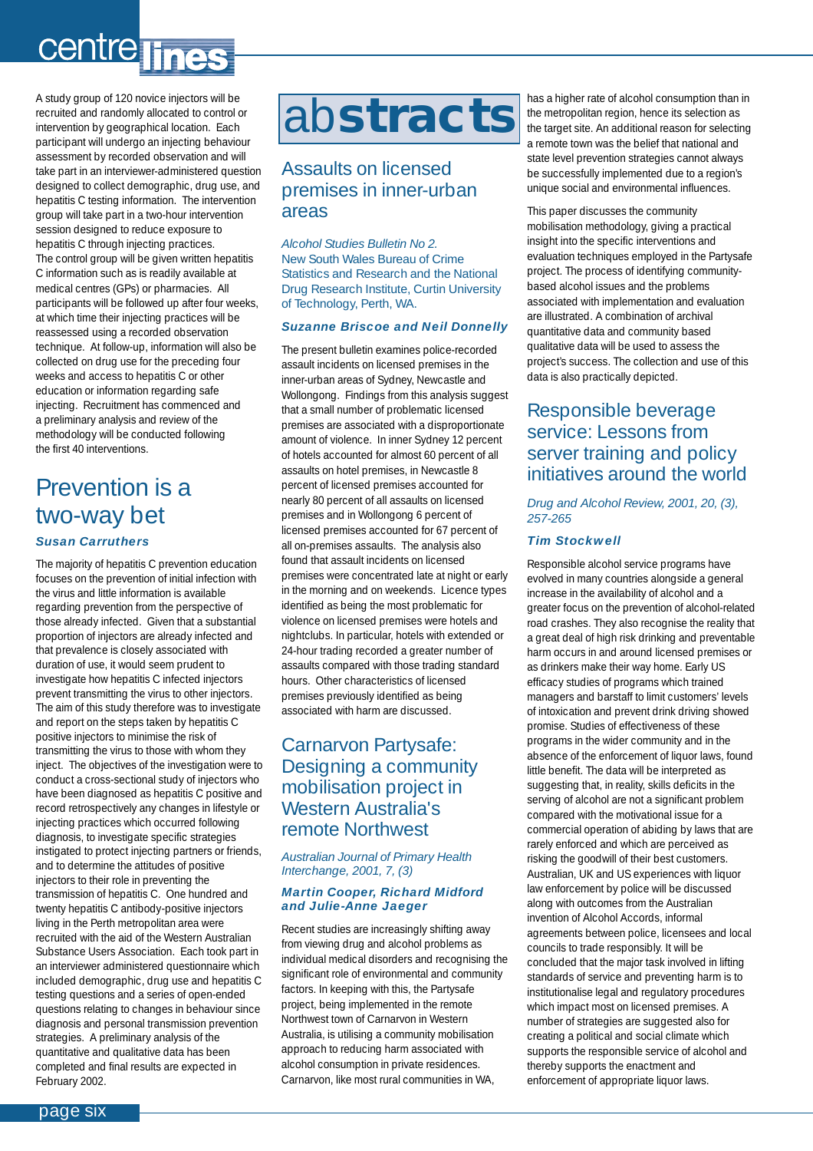## <span id="page-5-0"></span>centre lines

A study group of 120 novice injectors will be recruited and randomly allocated to control or intervention by geographical location. Each participant will undergo an injecting behaviour assessment by recorded observation and will take part in an interviewer-administered question designed to collect demographic, drug use, and hepatitis C testing information. The intervention group will take part in a two-hour intervention session designed to reduce exposure to hepatitis C through injecting practices. The control group will be given written hepatitis C information such as is readily available at medical centres (GPs) or pharmacies. All participants will be followed up after four weeks, at which time their injecting practices will be reassessed using a recorded observation technique. At follow-up, information will also be collected on drug use for the preceding four weeks and access to hepatitis C or other education or information regarding safe injecting. Recruitment has commenced and a preliminary analysis and review of the methodology will be conducted following the first 40 interventions.

### Prevention is a two-way bet *Susan Carruthers*

The majority of hepatitis C prevention education focuses on the prevention of initial infection with the virus and little information is available regarding prevention from the perspective of those already infected. Given that a substantial proportion of injectors are already infected and that prevalence is closely associated with duration of use, it would seem prudent to investigate how hepatitis C infected injectors prevent transmitting the virus to other injectors. The aim of this study therefore was to investigate and report on the steps taken by hepatitis C positive injectors to minimise the risk of transmitting the virus to those with whom they inject. The objectives of the investigation were to conduct a cross-sectional study of injectors who have been diagnosed as hepatitis C positive and record retrospectively any changes in lifestyle or injecting practices which occurred following diagnosis, to investigate specific strategies instigated to protect injecting partners or friends, and to determine the attitudes of positive injectors to their role in preventing the transmission of hepatitis C. One hundred and twenty hepatitis C antibody-positive injectors living in the Perth metropolitan area were recruited with the aid of the Western Australian Substance Users Association. Each took part in an interviewer administered questionnaire which included demographic, drug use and hepatitis C testing questions and a series of open-ended questions relating to changes in behaviour since diagnosis and personal transmission prevention strategies. A preliminary analysis of the quantitative and qualitative data has been completed and final results are expected in February 2002.

## ab**stracts**

#### Assaults on licensed premises in inner-urban areas

*Alcohol Studies Bulletin No 2.* New South Wales Bureau of Crime Statistics and Research and the National Drug Research Institute, Curtin University of Technology, Perth, WA.

#### *Suzanne Briscoe and Neil Donnelly*

The present bulletin examines police-recorded assault incidents on licensed premises in the inner-urban areas of Sydney, Newcastle and Wollongong. Findings from this analysis suggest that a small number of problematic licensed premises are associated with a disproportionate amount of violence. In inner Sydney 12 percent of hotels accounted for almost 60 percent of all assaults on hotel premises, in Newcastle 8 percent of licensed premises accounted for nearly 80 percent of all assaults on licensed premises and in Wollongong 6 percent of licensed premises accounted for 67 percent of all on-premises assaults. The analysis also found that assault incidents on licensed premises were concentrated late at night or early in the morning and on weekends. Licence types identified as being the most problematic for violence on licensed premises were hotels and nightclubs. In particular, hotels with extended or 24-hour trading recorded a greater number of assaults compared with those trading standard hours. Other characteristics of licensed premises previously identified as being associated with harm are discussed.

#### Carnarvon Partysafe: Designing a community mobilisation project in Western Australia's remote Northwest

*Australian Journal of Primary Health Interchange, 2001, 7, (3)*

#### *Martin Cooper, Richard Midford and Julie-Anne Jaeger*

Recent studies are increasingly shifting away from viewing drug and alcohol problems as individual medical disorders and recognising the significant role of environmental and community factors. In keeping with this, the Partysafe project, being implemented in the remote Northwest town of Carnarvon in Western Australia, is utilising a community mobilisation approach to reducing harm associated with alcohol consumption in private residences. Carnarvon, like most rural communities in WA,

has a higher rate of alcohol consumption than in the metropolitan region, hence its selection as the target site. An additional reason for selecting a remote town was the belief that national and state level prevention strategies cannot always be successfully implemented due to a region's unique social and environmental influences.

This paper discusses the community mobilisation methodology, giving a practical insight into the specific interventions and evaluation techniques employed in the Partysafe project. The process of identifying communitybased alcohol issues and the problems associated with implementation and evaluation are illustrated. A combination of archival quantitative data and community based qualitative data will be used to assess the project's success. The collection and use of this data is also practically depicted.

#### Responsible beverage service: Lessons from server training and policy initiatives around the world

*Drug and Alcohol Review, 2001, 20, (3), 257-265*

#### *Tim Stockwell*

Responsible alcohol service programs have evolved in many countries alongside a general increase in the availability of alcohol and a greater focus on the prevention of alcohol-related road crashes. They also recognise the reality that a great deal of high risk drinking and preventable harm occurs in and around licensed premises or as drinkers make their way home. Early US efficacy studies of programs which trained managers and barstaff to limit customers' levels of intoxication and prevent drink driving showed promise. Studies of effectiveness of these programs in the wider community and in the absence of the enforcement of liquor laws, found little benefit. The data will be interpreted as suggesting that, in reality, skills deficits in the serving of alcohol are not a significant problem compared with the motivational issue for a commercial operation of abiding by laws that are rarely enforced and which are perceived as risking the goodwill of their best customers. Australian, UK and US experiences with liquor law enforcement by police will be discussed along with outcomes from the Australian invention of Alcohol Accords, informal agreements between police, licensees and local councils to trade responsibly. It will be concluded that the major task involved in lifting standards of service and preventing harm is to institutionalise legal and regulatory procedures which impact most on licensed premises. A number of strategies are suggested also for creating a political and social climate which supports the responsible service of alcohol and thereby supports the enactment and enforcement of appropriate liquor laws.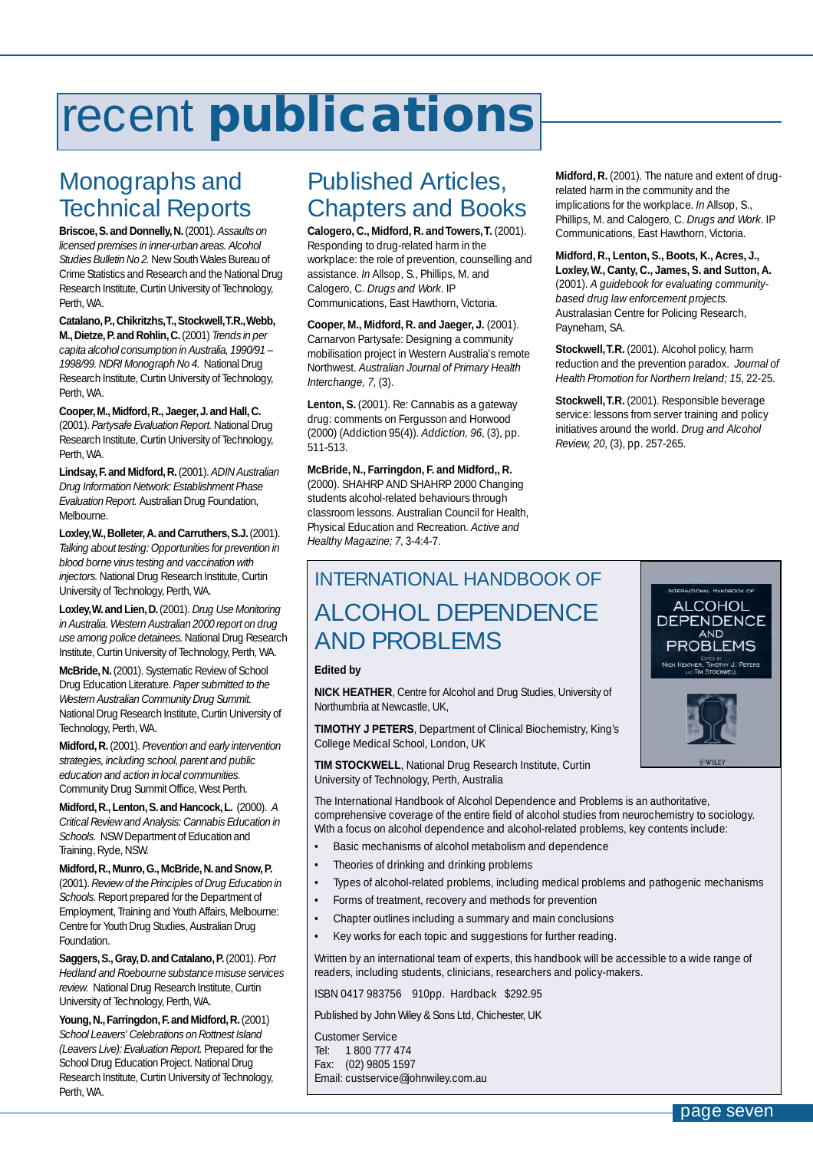## <span id="page-6-0"></span>recent **publications**

## Monographs and Technical Reports

**Briscoe,S.and Donnelly,N.**(2001). *Assaults on licensed premises in inner-urban areas. Alcohol Studies Bulletin No 2.* New South Wales Bureau of Crime Statistics and Research and the National Drug Research Institute, Curtin University of Technology, Perth, WA.

**Catalano,P.,Chikritzhs,T.,Stockwell,T.R.,Webb, M.,Dietze,P.and Rohlin,C.**(2001) *Trends in per capita alcohol consumption in Australia, 1990/91 – 1998/99. NDRI Monograph No 4.* National Drug Research Institute, Curtin University of Technology, Perth, WA.

Cooper, M., Midford, R., Jaeger, J. and Hall, C. (2001). *Partysafe Evaluation Report.* National Drug Research Institute, Curtin University of Technology, Perth, WA.

**Lindsay,F.and Midford,R.**(2001). *ADIN Australian Drug Information Network: Establishment Phase Evaluation Report.* Australian Drug Foundation, Melbourne.

**Loxley,W.,Bolleter,A.and Carruthers,S.J.**(2001). *Talking about testing: Opportunities for prevention in blood borne virus testing and vaccination with injectors.* National Drug Research Institute, Curtin University of Technology, Perth, WA.

**Loxley,W.and Lien,D.**(2001). *Drug Use Monitoring in Australia. Western Australian 2000 report on drug use among police detainees.* National Drug Research Institute, Curtin University of Technology, Perth, WA.

**McBride,N.**(2001). Systematic Review of School Drug Education Literature. *Paper submitted to the Western Australian Community Drug Summit.* National Drug Research Institute, Curtin University of Technology, Perth, WA.

**Midford,R.**(2001). *Prevention and early intervention strategies, including school, parent and public education and action in local communities.* Community Drug Summit Office, West Perth.

**Midford,R.,Lenton,S.and Hancock,L.** (2000). *A Critical Review and Analysis: Cannabis Education in Schools.* NSW Department of Education and Training, Ryde, NSW.

#### **Midford,R.,Munro,G.,McBride,N.and Snow,P.**

(2001). *Review of the Principles of Drug Education in Schools.* Report prepared for the Department of Employment, Training and Youth Affairs, Melbourne: Centre for Youth Drug Studies, Australian Drug **Foundation** 

**Saggers,S.,Gray,D.and Catalano,P.**(2001). *Port Hedland and Roebourne substance misuse services review.* National Drug Research Institute, Curtin University of Technology, Perth, WA.

**Young,N.,Farringdon,F.and Midford,R.**(2001) *School Leavers' Celebrations on Rottnest Island (Leavers Live): Evaluation Report.* Prepared for the School Drug Education Project. National Drug Research Institute, Curtin University of Technology, Perth, WA.

## Published Articles, Chapters and Books

**Calogero, C., Midford, R. and Towers,T.** (2001). Responding to drug-related harm in the workplace: the role of prevention, counselling and assistance. *In* Allsop, S., Phillips, M. and Calogero, C. *Drugs and Work*. IP Communications, East Hawthorn, Victoria.

**Cooper, M., Midford, R. and Jaeger, J.** (2001). Carnarvon Partysafe: Designing a community mobilisation project in Western Australia's remote Northwest. *Australian Journal of Primary Health Interchange, 7*, (3).

**Lenton, S.** (2001). Re: Cannabis as a gateway drug: comments on Fergusson and Horwood (2000) (Addiction 95(4)). *Addiction, 96*, (3), pp. 511-513.

**McBride, N., Farringdon, F. and Midford,, R.** (2000). SHAHRP AND SHAHRP 2000 Changing students alcohol-related behaviours through classroom lessons. Australian Council for Health, Physical Education and Recreation. *Active and Healthy Magazine; 7*, 3-4:4-7.

#### **Midford, R.** (2001). The nature and extent of drugrelated harm in the community and the implications for the workplace. *In* Allsop, S., Phillips, M. and Calogero, C. *Drugs and Work*. IP Communications, East Hawthorn, Victoria.

**Midford, R., Lenton, S., Boots, K., Acres, J., Loxley,W., Canty, C., James, S. and Sutton, A.** (2001). *A guidebook for evaluating communitybased drug law enforcement projects.* Australasian Centre for Policing Research, Payneham, SA.

**Stockwell,T.R.** (2001). Alcohol policy, harm reduction and the prevention paradox. *Journal of Health Promotion for Northern Ireland; 15*, 22-25.

**Stockwell,T.R.** (2001). Responsible beverage service: lessons from server training and policy initiatives around the world. *Drug and Alcohol Review, 20*, (3), pp. 257-265.

## INTERNATIONAL HANDBOOK OF ALCOHOL DEPENDENCE AND PROBLEMS

#### **Edited by**

**NICK HEATHER**, Centre for Alcohol and Drug Studies, University of Northumbria at Newcastle, UK,

**TIMOTHY J PETERS**, Department of Clinical Biochemistry, King's College Medical School, London, UK

**TIM STOCKWELL**, National Drug Research Institute, Curtin University of Technology, Perth, Australia

The International Handbook of Alcohol Dependence and Problems is an authoritative, comprehensive coverage of the entire field of alcohol studies from neurochemistry to sociology. With a focus on alcohol dependence and alcohol-related problems, key contents include:

- Basic mechanisms of alcohol metabolism and dependence
- Theories of drinking and drinking problems
- Types of alcohol-related problems, including medical problems and pathogenic mechanisms
- Forms of treatment, recovery and methods for prevention
- Chapter outlines including a summary and main conclusions
- Key works for each topic and suggestions for further reading.

Written by an international team of experts, this handbook will be accessible to a wide range of readers, including students, clinicians, researchers and policy-makers.

ISBN 0417 983756 910pp. Hardback \$292.95

Published by John Wiley & Sons Ltd, Chichester, UK

Customer Service Tel: 1 800 777 474 Fax: (02) 9805 1597 Email: custservice@johnwiley.com.au